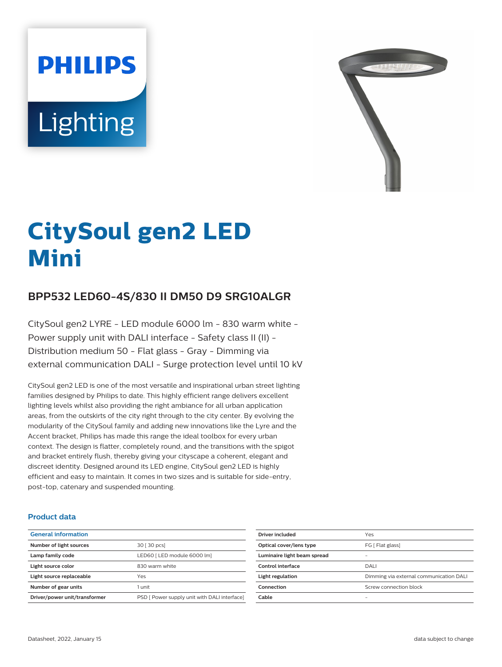# **PHILIPS Lighting**



# **CitySoul gen2 LED Mini**

# **BPP532 LED60-4S/830 II DM50 D9 SRG10ALGR**

CitySoul gen2 LYRE - LED module 6000 lm - 830 warm white - Power supply unit with DALI interface - Safety class II (II) - Distribution medium 50 - Flat glass - Gray - Dimming via external communication DALI - Surge protection level until 10 kV

CitySoul gen2 LED is one of the most versatile and inspirational urban street lighting families designed by Philips to date. This highly efficient range delivers excellent lighting levels whilst also providing the right ambiance for all urban application areas, from the outskirts of the city right through to the city center. By evolving the modularity of the CitySoul family and adding new innovations like the Lyre and the Accent bracket, Philips has made this range the ideal toolbox for every urban context. The design is flatter, completely round, and the transitions with the spigot and bracket entirely flush, thereby giving your cityscape a coherent, elegant and discreet identity. Designed around its LED engine, CitySoul gen2 LED is highly efficient and easy to maintain. It comes in two sizes and is suitable for side-entry, post-top, catenary and suspended mounting.

#### **Product data**

| <b>General information</b>    |                                              |
|-------------------------------|----------------------------------------------|
| Number of light sources       | 30 [ 30 pcs]                                 |
| Lamp family code              | LED60   LED module 6000 lm]                  |
| Light source color            | 830 warm white                               |
| Light source replaceable      | Yes                                          |
| Number of gear units          | 1 unit                                       |
| Driver/power unit/transformer | PSD [ Power supply unit with DALI interface] |

| Driver included             | Yes                                     |
|-----------------------------|-----------------------------------------|
| Optical cover/lens type     | FG [ Flat glass]                        |
| Luminaire light beam spread |                                         |
| Control interface           | DALI                                    |
| Light regulation            | Dimming via external communication DALI |
| Connection                  | Screw connection block                  |
| Cable                       |                                         |
|                             |                                         |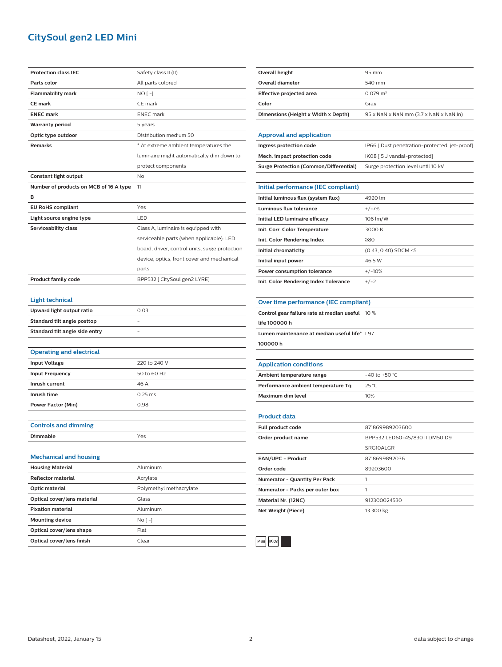## **CitySoul gen2 LED Mini**

| <b>Protection class IEC</b>            | Safety class II (II)                           |
|----------------------------------------|------------------------------------------------|
| Parts color                            | All parts colored                              |
| <b>Flammability mark</b>               | NO [ -]                                        |
| <b>CE mark</b>                         | CE mark                                        |
| <b>ENEC mark</b>                       | <b>ENEC</b> mark                               |
| <b>Warranty period</b>                 | 5 years                                        |
| Optic type outdoor                     | Distribution medium 50                         |
| <b>Remarks</b>                         | * At extreme ambient temperatures the          |
|                                        | luminaire might automatically dim down to      |
|                                        | protect components                             |
| Constant light output                  | No                                             |
| Number of products on MCB of 16 A type | 11                                             |
| в                                      |                                                |
| <b>EU RoHS compliant</b>               | Yes                                            |
| Light source engine type               | LED                                            |
| Serviceability class                   | Class A, luminaire is equipped with            |
|                                        | serviceable parts (when applicable): LED       |
|                                        | board, driver, control units, surge protection |
|                                        | device, optics, front cover and mechanical     |
|                                        | parts                                          |
| <b>Product family code</b>             | BPP532 [ CitySoul gen2 LYRE]                   |
|                                        |                                                |
| <b>Light technical</b>                 |                                                |
| Upward light output ratio              | 0.03                                           |
| Standard tilt angle posttop            |                                                |
| Standard tilt angle side entry         |                                                |
|                                        |                                                |
| <b>Operating and electrical</b>        |                                                |
| <b>Input Voltage</b>                   | 220 to 240 V                                   |
| <b>Input Frequency</b>                 | 50 to 60 Hz                                    |
| Inrush current                         | 46 A                                           |
| Inrush time                            | $0.25$ ms                                      |
| <b>Power Factor (Min)</b>              | 0.98                                           |
|                                        |                                                |
| <b>Controls and dimming</b>            |                                                |
| Dimmable                               | Yes                                            |
|                                        |                                                |
| <b>Mechanical and housing</b>          |                                                |
| <b>Housing Material</b>                | Aluminum                                       |
| <b>Reflector material</b>              | Acrylate                                       |
| Optic material                         | Polymethyl methacrylate                        |
| Optical cover/lens material            | Glass                                          |
| <b>Fixation material</b>               | Aluminum                                       |
| <b>Mounting device</b>                 | No [ -]                                        |
| Optical cover/lens shape               |                                                |
| Optical cover/lens finish              | Flat<br>Clear                                  |

| <b>Overall height</b>                           | 95 mm                                         |
|-------------------------------------------------|-----------------------------------------------|
| <b>Overall diameter</b>                         | 540 mm                                        |
| <b>Effective projected area</b>                 | $0.079$ m <sup>2</sup>                        |
| Color                                           | Gray                                          |
| Dimensions (Height x Width x Depth)             | 95 x NaN x NaN mm (3.7 x NaN x NaN in)        |
|                                                 |                                               |
| <b>Approval and application</b>                 |                                               |
| Ingress protection code                         | IP66 [ Dust penetration-protected, jet-proof] |
| Mech. impact protection code                    | IK08 [5 J vandal-protected]                   |
| <b>Surge Protection (Common/Differential)</b>   | Surge protection level until 10 kV            |
|                                                 |                                               |
| Initial performance (IEC compliant)             |                                               |
| Initial luminous flux (system flux)             | 4920 lm                                       |
| Luminous flux tolerance                         | $+/-7%$                                       |
| Initial LED luminaire efficacy                  | 106 lm/W                                      |
| Init. Corr. Color Temperature                   | 3000 K                                        |
| Init. Color Rendering Index                     | ≥80                                           |
| Initial chromaticity                            | $(0.43, 0.40)$ SDCM <5                        |
| Initial input power                             | 46.5 W                                        |
| Power consumption tolerance                     | $+/-10%$                                      |
| Init. Color Rendering Index Tolerance           | $+/-2$                                        |
|                                                 |                                               |
| Over time performance (IEC compliant)           |                                               |
| Control gear failure rate at median useful 10 % |                                               |
| life 100000 h                                   |                                               |
| Lumen maintenance at median useful life* L97    |                                               |
| 100000h                                         |                                               |
|                                                 |                                               |
| <b>Application conditions</b>                   |                                               |
| Ambient temperature range                       | -40 to +50 $°C$                               |
| Performance ambient temperature Tq              | 25 °C                                         |
| <b>Maximum dim level</b>                        | 10%                                           |
|                                                 |                                               |
| <b>Product data</b>                             |                                               |
| Full product code                               | 871869989203600                               |
| Order product name                              | BPP532 LED60-4S/830 II DM50 D9                |
|                                                 | SRG10ALGR                                     |
| EAN/UPC - Product                               | 8718699892036                                 |
| Order code                                      | 89203600                                      |
| Numerator - Quantity Per Pack                   | 1                                             |
| Numerator - Packs per outer box                 | 1                                             |
| Material Nr. (12NC)                             | 912300024530                                  |
| Net Weight (Piece)                              | 13.300 kg                                     |
|                                                 |                                               |